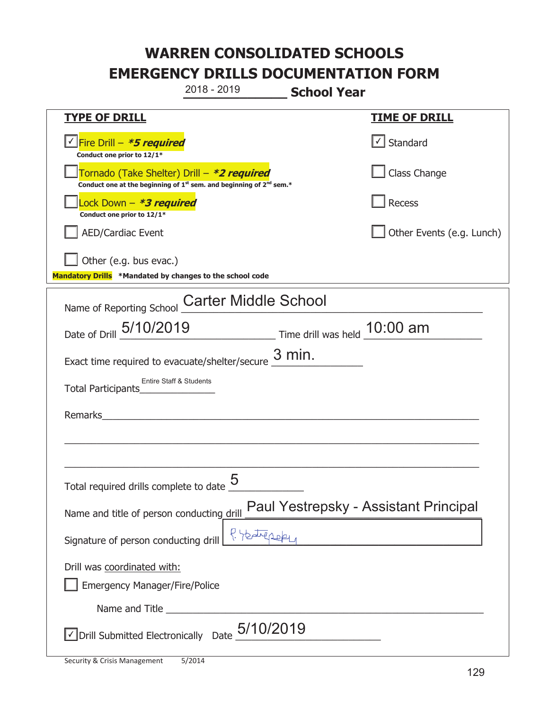**\_\_\_\_\_\_\_\_\_\_\_\_\_ School Year TYPE OF DRILL TIME OF DRILL**  <mark>▽ Fire Drill – *\*5 required* マイクレス マイクレス マイクレス マイクレス マイクレス マイクレス マイクレス マイクレス しゃく</mark> **Conduct one prior to 12/1\***   $\Box$  Standard 侊Tornado (Take Shelter) Drill – **\*2 required Conduct one at the beginning of 1<sup>st</sup> sem. and beginning of 2<sup>nd</sup> sem.\*** Class Change 侊Lock Down – **\*3 required Conduct one prior to 12/1\* Recess** AED/Cardiac Event **AED/Cardiac Event Network Network Network Network Network Network Network Network Network Network Network Network Network Network Network Network Network Network Net** Other (e.g. bus evac.) **Mandatory Drills \*Mandated by changes to the school code**  Name of Reporting School Carter Middle School Date of Drill  $\frac{5/10/2019}{2}$  Time drill was held  $\frac{10:00 \text{ am}}{2}$ Exact time required to evacuate/shelter/secure  $\frac{3 \text{ min.}}{2}$ Total Participants<sup></sup> Remarks  $\_$  , and the set of the set of the set of the set of the set of the set of the set of the set of the set of the set of the set of the set of the set of the set of the set of the set of the set of the set of the set of th \_\_\_\_\_\_\_\_\_\_\_\_\_\_\_\_\_\_\_\_\_\_\_\_\_\_\_\_\_\_\_\_\_\_\_\_\_\_\_\_\_\_\_\_\_\_\_\_\_\_\_\_\_\_\_\_\_\_\_\_\_\_\_\_\_\_\_\_\_\_\_\_\_\_\_\_\_ Total required drills complete to date  $\frac{5}{2}$ Name and title of person conducting drill Paul Yestrepsky - Assistant Principal Signature of person conducting drill  $\left\{ \begin{array}{c} \n\sqrt{2} & \sqrt{2} & \sqrt{2} \n\end{array} \right\}$ Drill was coordinated with: ܆ Emergency Manager/Fire/Police Name and Title **Example 20**  $\triangledown$  Drill Submitted Electronically Date  $5/10/2019$ 2018 - 2019 Entire Staff & Students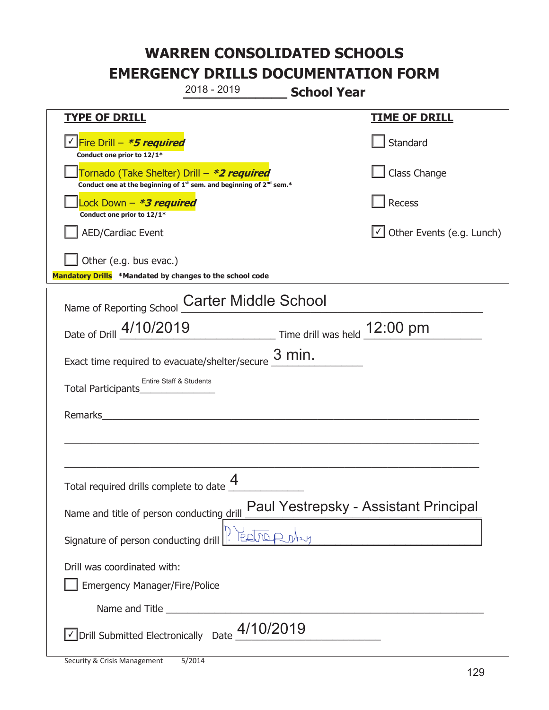**\_\_\_\_\_\_\_\_\_\_\_\_\_ School Year TYPE OF DRILL TIME OF DRILL**  侊Fire Drill – **\*5 required** ✔ **Conduct one prior to 12/1\* Standard** 侊Tornado (Take Shelter) Drill – **\*2 required Conduct one at the beginning of 1<sup>st</sup> sem. and beginning of 2<sup>nd</sup> sem.\*** Class Change 侊Lock Down – **\*3 required Conduct one prior to 12/1\* Recess** □ AED/Cardiac Event and the state of the state of the Second of Table of the Events (e.g. Lunch) Other (e.g. bus evac.) **Mandatory Drills \*Mandated by changes to the school code**  Name of Reporting School Carter Middle School Date of Drill  $\frac{4/10/2019}{2}$  Time drill was held  $\frac{12:00 \text{ pm}}{2}$ Exact time required to evacuate/shelter/secure  $\frac{3 \text{ min.}}{2}$ Total Participants<sup>\_\_\_</sup> Remarks  $\_$  , and the set of the set of the set of the set of the set of the set of the set of the set of the set of the set of the set of the set of the set of the set of the set of the set of the set of the set of the set of th \_\_\_\_\_\_\_\_\_\_\_\_\_\_\_\_\_\_\_\_\_\_\_\_\_\_\_\_\_\_\_\_\_\_\_\_\_\_\_\_\_\_\_\_\_\_\_\_\_\_\_\_\_\_\_\_\_\_\_\_\_\_\_\_\_\_\_\_\_\_\_\_\_\_\_\_\_ Total required drills complete to date  $\frac{4}{\sqrt{2}}$ Name and title of person conducting drill Signature of person conducting drill  $\left\vert \cdot\right\rangle$   $\left\vert \cdot\right\rangle$   $\left\vert \cdot\right\rangle$   $\left\vert \cdot\right\rangle$   $\left\vert \cdot\right\rangle$ Drill was coordinated with: ܆ Emergency Manager/Fire/Police Name and Title **Example 20**  $\triangledown$  Drill Submitted Electronically Date  $\frac{4/10/2019}{\sqrt{10}}$ 2018 - 2019 Entire Staff & Students Paul Yestrepsky - Assistant Principal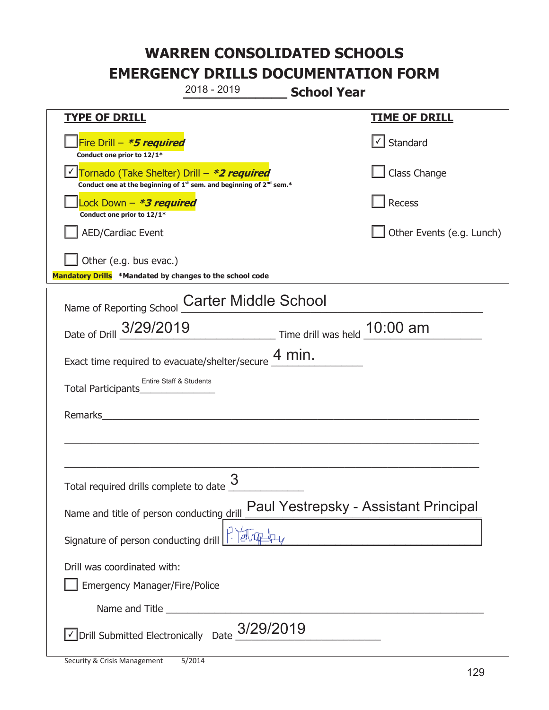**\_\_\_\_\_\_\_\_\_\_\_\_\_ School Year TYPE OF DRILL TIME OF DRILL**  侊Fire Drill – **\*5 required Conduct one prior to 12/1\***   $\boxed{\checkmark}$  Standard 侊Tornado (Take Shelter) Drill – **\*2 required** ✔ **Conduct one at the beginning of 1<sup>st</sup> sem. and beginning of 2<sup>nd</sup> sem.\*** Class Change 侊Lock Down – **\*3 required Conduct one prior to 12/1\* Recess** AED/Cardiac Event **AED/Cardiac Event Network Network Network Network Network Network Network Network Network Network Network Network Network Network Network Network Network Network Net** Other (e.g. bus evac.) **Mandatory Drills \*Mandated by changes to the school code**  Name of Reporting School Carter Middle School Date of Drill \_\_\_\_\_\_\_\_\_\_\_\_\_\_\_\_\_\_\_\_\_\_\_\_\_\_\_\_\_ Time drill was held \_\_\_\_\_\_\_\_\_\_\_\_\_\_\_\_\_\_\_\_\_\_ 3/29/2019 10:00 am Exact time required to evacuate/shelter/secure  $\frac{4 \text{ min.}}{4 \text{ min.}}$ Total Participants<sup></sup> Remarks  $\_$  , and the set of the set of the set of the set of the set of the set of the set of the set of the set of the set of the set of the set of the set of the set of the set of the set of the set of the set of the set of th \_\_\_\_\_\_\_\_\_\_\_\_\_\_\_\_\_\_\_\_\_\_\_\_\_\_\_\_\_\_\_\_\_\_\_\_\_\_\_\_\_\_\_\_\_\_\_\_\_\_\_\_\_\_\_\_\_\_\_\_\_\_\_\_\_\_\_\_\_\_\_\_\_\_\_\_\_ Total required drills complete to date  $\frac{3}{2}$ Name and title of person conducting drill Signature of person conducting drill  $\left|\frac{1}{2}\right|$ Drill was coordinated with: ܆ Emergency Manager/Fire/Police Name and Title **Example 20**  $\triangledown$  Drill Submitted Electronically Date  $\frac{3/29/2019}{\sqrt{3/2019}}$ 2018 - 2019 Entire Staff & Students Paul Yestrepsky - Assistant Principal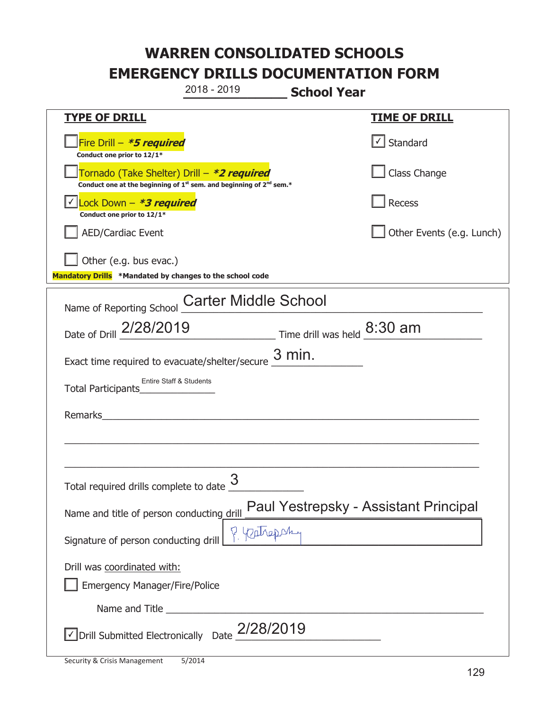**\_\_\_\_\_\_\_\_\_\_\_\_\_ School Year TYPE OF DRILL TIME OF DRILL**  侊Fire Drill – **\*5 required Conduct one prior to 12/1\***   $\boxed{\checkmark}$  Standard 侊Tornado (Take Shelter) Drill – **\*2 required Conduct one at the beginning of 1<sup>st</sup> sem. and beginning of 2<sup>nd</sup> sem.\*** Class Change 侊Lock Down – **\*3 required** ✔ **Conduct one prior to 12/1\* Recess** AED/Cardiac Event **AED/Cardiac Event Network Network Network Network Network Network Network Network Network Network Network Network Network Network Network Network Network Network Net** Other (e.g. bus evac.) **Mandatory Drills \*Mandated by changes to the school code**  Name of Reporting School Carter Middle School Date of Drill  $\frac{2/28/2019}{2}$  Time drill was held  $\frac{8:30 \text{ am}}{2}$ Exact time required to evacuate/shelter/secure  $\frac{3 \text{ min.}}{2}$ Total Participants<sup>\_\_\_</sup> Remarks  $\_$  , and the set of the set of the set of the set of the set of the set of the set of the set of the set of the set of the set of the set of the set of the set of the set of the set of the set of the set of the set of th \_\_\_\_\_\_\_\_\_\_\_\_\_\_\_\_\_\_\_\_\_\_\_\_\_\_\_\_\_\_\_\_\_\_\_\_\_\_\_\_\_\_\_\_\_\_\_\_\_\_\_\_\_\_\_\_\_\_\_\_\_\_\_\_\_\_\_\_\_\_\_\_\_\_\_\_\_ Total required drills complete to date  $\frac{3}{2}$ Name and title of person conducting drill Paul Yestrepsky - Assistant Principal Signature of person conducting drill  $\left|\int\right|$   $\left|\int\right|$   $\left|\int\right|$   $\left|\int\right|$ Drill was coordinated with: ܆ Emergency Manager/Fire/Police Name and Title **Example 20**  $\triangledown$  Drill Submitted Electronically Date  $2/28/2019$ 2018 - 2019 Entire Staff & Students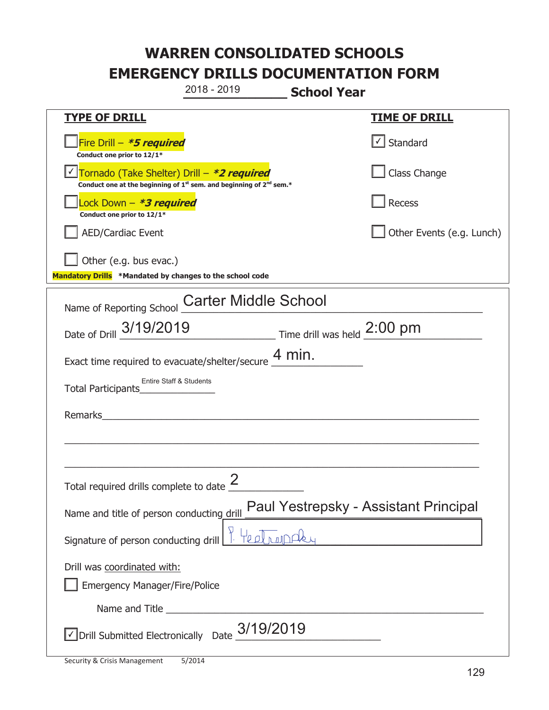**\_\_\_\_\_\_\_\_\_\_\_\_\_ School Year TYPE OF DRILL TIME OF DRILL**  侊Fire Drill – **\*5 required Conduct one prior to 12/1\***   $\boxed{\checkmark}$  Standard 侊Tornado (Take Shelter) Drill – **\*2 required** ✔ **Conduct one at the beginning of 1<sup>st</sup> sem. and beginning of 2<sup>nd</sup> sem.\*** Class Change 侊Lock Down – **\*3 required Conduct one prior to 12/1\* Recess** AED/Cardiac Event **AED/Cardiac Event Network Network Network Network Network Network Network Network Network Network Network Network Network Network Network Network Network Network Net** Other (e.g. bus evac.) **Mandatory Drills \*Mandated by changes to the school code**  Name of Reporting School Carter Middle School Date of Drill  $\frac{3/19/2019}{2}$  Time drill was held  $\frac{2:00 \text{ pm}}{2}$ Exact time required to evacuate/shelter/secure  $\frac{4 \text{ min.}}{4 \text{ min.}}$ Total Participants<sup>\_\_\_</sup> Remarks  $\_$  , and the set of the set of the set of the set of the set of the set of the set of the set of the set of the set of the set of the set of the set of the set of the set of the set of the set of the set of the set of th \_\_\_\_\_\_\_\_\_\_\_\_\_\_\_\_\_\_\_\_\_\_\_\_\_\_\_\_\_\_\_\_\_\_\_\_\_\_\_\_\_\_\_\_\_\_\_\_\_\_\_\_\_\_\_\_\_\_\_\_\_\_\_\_\_\_\_\_\_\_\_\_\_\_\_\_\_ Total required drills complete to date  $\frac{2}{\sqrt{2}}$ Name and title of person conducting drill Paul Yestrepsky - Assistant Principal Signature of person conducting drill **Pulled Trangelers** Drill was coordinated with: ܆ Emergency Manager/Fire/Police Name and Title **Example 20**  $\triangledown$  Drill Submitted Electronically Date  $\frac{3/19/2019}{2}$ 2018 - 2019 Entire Staff & Students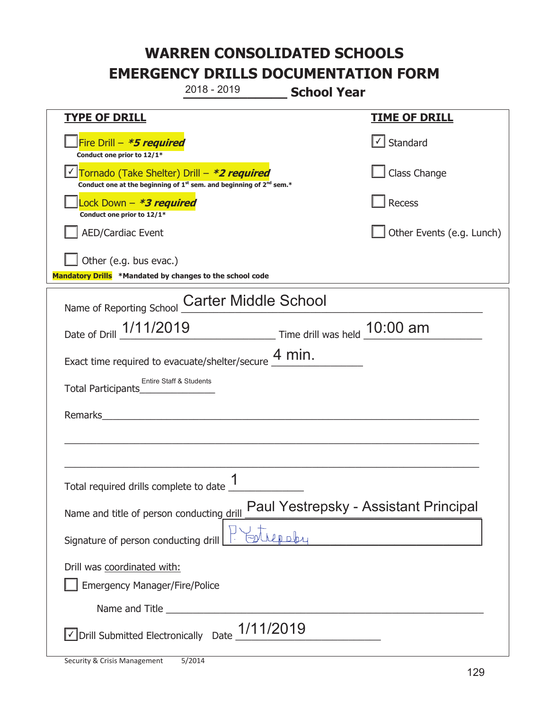**\_\_\_\_\_\_\_\_\_\_\_\_\_ School Year TYPE OF DRILL TIME OF DRILL**  侊Fire Drill – **\*5 required Conduct one prior to 12/1\***   $\boxed{\checkmark}$  Standard 侊Tornado (Take Shelter) Drill – **\*2 required** ✔ **Conduct one at the beginning of 1<sup>st</sup> sem. and beginning of 2<sup>nd</sup> sem.\*** Class Change 侊Lock Down – **\*3 required Conduct one prior to 12/1\* Recess** AED/Cardiac Event **AED/Cardiac Event Network Network Network Network Network Network Network Network Network Network Network Network Network Network Network Network Network Network Net** Other (e.g. bus evac.) **Mandatory Drills \*Mandated by changes to the school code**  Name of Reporting School Carter Middle School Date of Drill  $\frac{1/11/2019}{2}$  Time drill was held  $\frac{10:00 \text{ am}}{2}$ Exact time required to evacuate/shelter/secure  $\frac{4 \text{ min.}}{4 \text{ min.}}$ Total Participants<sup>\_\_\_</sup> Remarks  $\_$  , and the set of the set of the set of the set of the set of the set of the set of the set of the set of the set of the set of the set of the set of the set of the set of the set of the set of the set of the set of th \_\_\_\_\_\_\_\_\_\_\_\_\_\_\_\_\_\_\_\_\_\_\_\_\_\_\_\_\_\_\_\_\_\_\_\_\_\_\_\_\_\_\_\_\_\_\_\_\_\_\_\_\_\_\_\_\_\_\_\_\_\_\_\_\_\_\_\_\_\_\_\_\_\_\_\_\_ Total required drills complete to date  $\frac{1}{\sqrt{1-\frac{1}{2}}\cdot\frac{1}{\sqrt{1-\frac{1}{2}}\cdot\frac{1}{\sqrt{1-\frac{1}{2}}\cdot\frac{1}{\sqrt{1-\frac{1}{2}}\cdot\frac{1}{\sqrt{1-\frac{1}{2}}\cdot\frac{1}{\sqrt{1-\frac{1}{2}}\cdot\frac{1}{\sqrt{1-\frac{1}{2}}\cdot\frac{1}{\sqrt{1-\frac{1}{2}}\cdot\frac{1}{\sqrt{1-\frac{1}{2}}\cdot\frac{1}{\sqrt{1-\frac{1}{2}}\cdot\$ Name and title of person conducting drill Paul Yestrepsky - Assistant Principal Signature of person conducting drill  $\mathcal{L}$   $\mathbb{E}$   $\mathbb{E}$   $\mathbb{E}$ Drill was coordinated with: ܆ Emergency Manager/Fire/Police Name and Title **Example 20**  $\triangledown$  Drill Submitted Electronically Date  $\frac{1/11/2019}{2}$ 2018 - 2019 Entire Staff & Students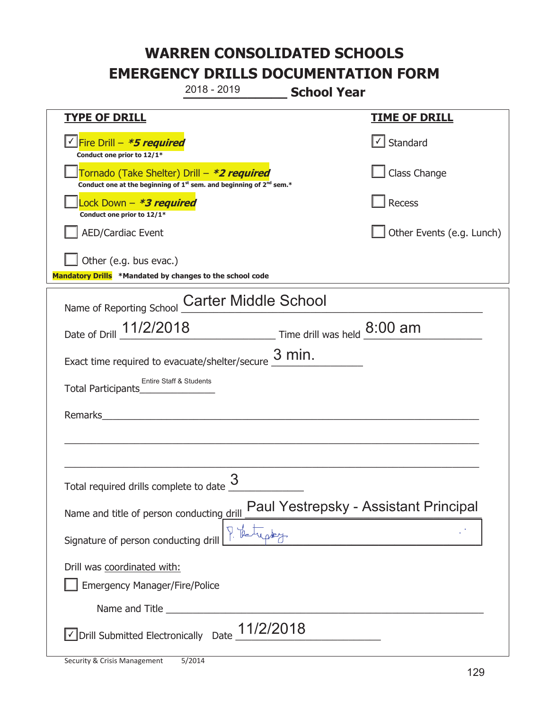**\_\_\_\_\_\_\_\_\_\_\_\_\_ School Year TYPE OF DRILL TIME OF DRILL**  <mark>▽ Fire Drill – *\*5 required* マイクレス マイクレス マイクレス マイクレス マイクレス マイクレス マイクレス マイクレス しゃく</mark> **Conduct one prior to 12/1\***   $\Box$  Standard 侊Tornado (Take Shelter) Drill – **\*2 required Conduct one at the beginning of 1<sup>st</sup> sem. and beginning of 2<sup>nd</sup> sem.\*** Class Change 侊Lock Down – **\*3 required Conduct one prior to 12/1\* Recess** AED/Cardiac Event **AED/Cardiac Event Network Network Network Network Network Network Network Network Network Network Network Network Network Network Network Network Network Network Net**  $\Box$  Other (e.g. bus evac.) **Mandatory Drills \*Mandated by changes to the school code**  Name of Reporting School Carter Middle School Date of Drill  $\frac{11/2/2018}{2}$  Time drill was held  $\frac{8:00 \text{ am}}{2}$ Exact time required to evacuate/shelter/secure  $\frac{3 \text{ min.}}{2}$ Total Participants<sup>\_\_\_</sup> Remarks  $\_$  , and the set of the set of the set of the set of the set of the set of the set of the set of the set of the set of the set of the set of the set of the set of the set of the set of the set of the set of the set of th \_\_\_\_\_\_\_\_\_\_\_\_\_\_\_\_\_\_\_\_\_\_\_\_\_\_\_\_\_\_\_\_\_\_\_\_\_\_\_\_\_\_\_\_\_\_\_\_\_\_\_\_\_\_\_\_\_\_\_\_\_\_\_\_\_\_\_\_\_\_\_\_\_\_\_\_\_ Total required drills complete to date  $\frac{3}{2}$ Name and title of person conducting drill Paul Yestrepsky - Assistant Principal Signature of person conducting drill  $\left[\begin{array}{c} \uparrow \\ \downarrow \end{array}\right]$ . Drill was coordinated with: ܆ Emergency Manager/Fire/Police Name and Title **Example 20**  $\triangledown$  Drill Submitted Electronically Date  $\frac{11/2/2018}{2}$ 2018 - 2019 Entire Staff & Students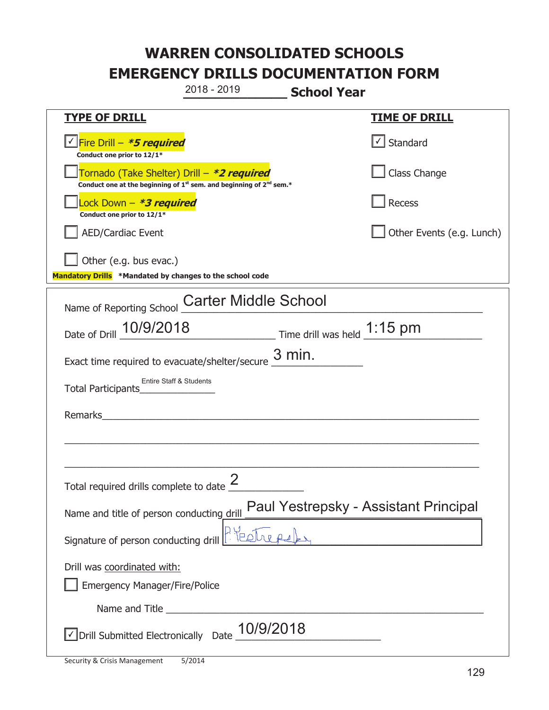**\_\_\_\_\_\_\_\_\_\_\_\_\_ School Year TYPE OF DRILL TIME OF DRILL**  <mark>▽ Fire Drill – *\*5 required* マイクレス マイクレス マイクレス マイクレス マイクレス マイクレス マイクレス マイクレス しゃく</mark> **Conduct one prior to 12/1\***   $\boxed{\sqrt}$  Standard 侊Tornado (Take Shelter) Drill – **\*2 required Conduct one at the beginning of 1<sup>st</sup> sem. and beginning of 2<sup>nd</sup> sem.\*** Class Change 侊Lock Down – **\*3 required Conduct one prior to 12/1\* Recess** AED/Cardiac Event **AED/Cardiac Event Network Network Network Network Network Network Network Network Network Network Network Network Network Network Network Network Network Network Net** Other (e.g. bus evac.) **Mandatory Drills \*Mandated by changes to the school code**  Name of Reporting School Carter Middle School Date of Drill  $\frac{10/9/2018}{2}$  Time drill was held  $\frac{1:15 \text{ pm}}{2}$ Exact time required to evacuate/shelter/secure  $\frac{3 \text{ min.}}{2}$ Total Participants<sup>\_\_\_</sup> Remarks  $\_$  , and the set of the set of the set of the set of the set of the set of the set of the set of the set of the set of the set of the set of the set of the set of the set of the set of the set of the set of the set of th \_\_\_\_\_\_\_\_\_\_\_\_\_\_\_\_\_\_\_\_\_\_\_\_\_\_\_\_\_\_\_\_\_\_\_\_\_\_\_\_\_\_\_\_\_\_\_\_\_\_\_\_\_\_\_\_\_\_\_\_\_\_\_\_\_\_\_\_\_\_\_\_\_\_\_\_\_ Total required drills complete to date  $\frac{2}{\sqrt{2}}$ Name and title of person conducting drill Paul Yestrepsky - Assistant Principal Signature of person conducting drill  $\boxed{\mathbb{R}}$ Drill was coordinated with: ܆ Emergency Manager/Fire/Police Name and Title **Example 20**  $\triangledown$  Drill Submitted Electronically Date  $\underline{10/9/2018}$ 2018 - 2019 Entire Staff & Students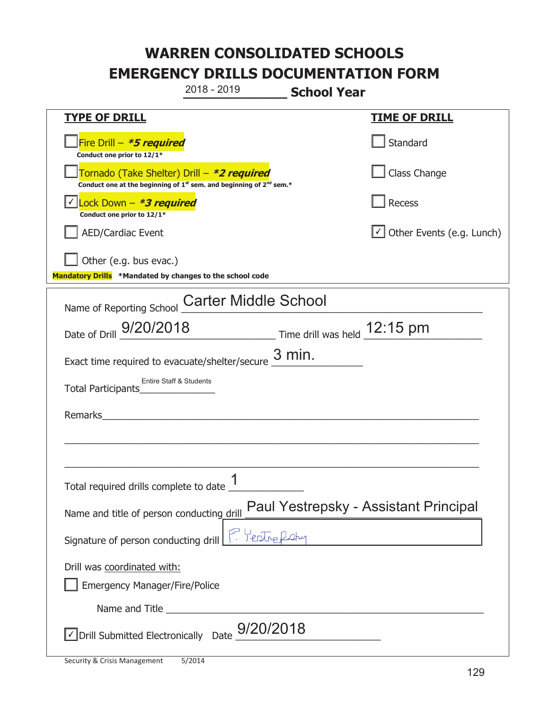**\_\_\_\_\_\_\_\_\_\_\_\_\_ School Year TYPE OF DRILL TIME OF DRILL**  侊Fire Drill – **\*5 required Conduct one prior to 12/1\* Standard** 侊Tornado (Take Shelter) Drill – **\*2 required Conduct one at the beginning of 1<sup>st</sup> sem. and beginning of 2<sup>nd</sup> sem.\*** Class Change 侊Lock Down – **\*3 required** ✔ **Conduct one prior to 12/1\* Recess** □ AED/Cardiac Event and the state of the state of the Second of Table of the Events (e.g. Lunch)  $\Box$  Other (e.g. bus evac.) **Mandatory Drills \*Mandated by changes to the school code**  Name of Reporting School Carter Middle School Date of Drill  $\frac{9/20/2018}{\text{Date of Drill}}$  Time drill was held  $\frac{12:15 \text{ pm}}{\text{Date of Drill}}$ Exact time required to evacuate/shelter/secure  $\frac{3 \text{ min.}}{2}$ Total Participants<sup>\_\_\_</sup> Remarks  $\_$  , and the set of the set of the set of the set of the set of the set of the set of the set of the set of the set of the set of the set of the set of the set of the set of the set of the set of the set of the set of th \_\_\_\_\_\_\_\_\_\_\_\_\_\_\_\_\_\_\_\_\_\_\_\_\_\_\_\_\_\_\_\_\_\_\_\_\_\_\_\_\_\_\_\_\_\_\_\_\_\_\_\_\_\_\_\_\_\_\_\_\_\_\_\_\_\_\_\_\_\_\_\_\_\_\_\_\_ Total required drills complete to date  $\frac{1}{\sqrt{1-\frac{1}{2}}\cdot\frac{1}{\sqrt{1-\frac{1}{2}}\cdot\frac{1}{\sqrt{1-\frac{1}{2}}\cdot\frac{1}{\sqrt{1-\frac{1}{2}}\cdot\frac{1}{\sqrt{1-\frac{1}{2}}\cdot\frac{1}{\sqrt{1-\frac{1}{2}}\cdot\frac{1}{\sqrt{1-\frac{1}{2}}\cdot\frac{1}{\sqrt{1-\frac{1}{2}}\cdot\frac{1}{\sqrt{1-\frac{1}{2}}\cdot\frac{1}{\sqrt{1-\frac{1}{2}}\cdot\$ Name and title of person conducting drill Paul Yestrepsky - Assistant Principal Signature of person conducting drill Fulled Leby Drill was coordinated with: ܆ Emergency Manager/Fire/Police Name and Title **Example 20**  $\sqrt{2}$  Drill Submitted Electronically Date  $\frac{9/20/2018}{2}$ 2018 - 2019 Entire Staff & Students